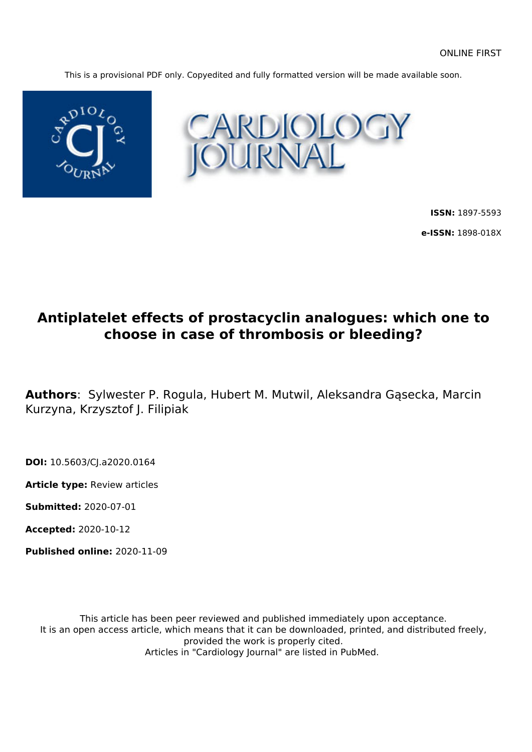This is a provisional PDF only. Copyedited and fully formatted version will be made available soon.





**ISSN:** 1897-5593 **e-ISSN:** 1898-018X

# **Antiplatelet effects of prostacyclin analogues: which one to choose in case of thrombosis or bleeding?**

**Authors**: Sylwester P. Rogula, Hubert M. Mutwil, Aleksandra Gąsecka, Marcin Kurzyna, Krzysztof J. Filipiak

**DOI:** 10.5603/CJ.a2020.0164

**Article type:** Review articles

**Submitted:** 2020-07-01

**Accepted:** 2020-10-12

**Published online:** 2020-11-09

This article has been peer reviewed and published immediately upon acceptance. It is an open access article, which means that it can be downloaded, printed, and distributed freely, provided the work is properly cited. Articles in "Cardiology Journal" are listed in PubMed.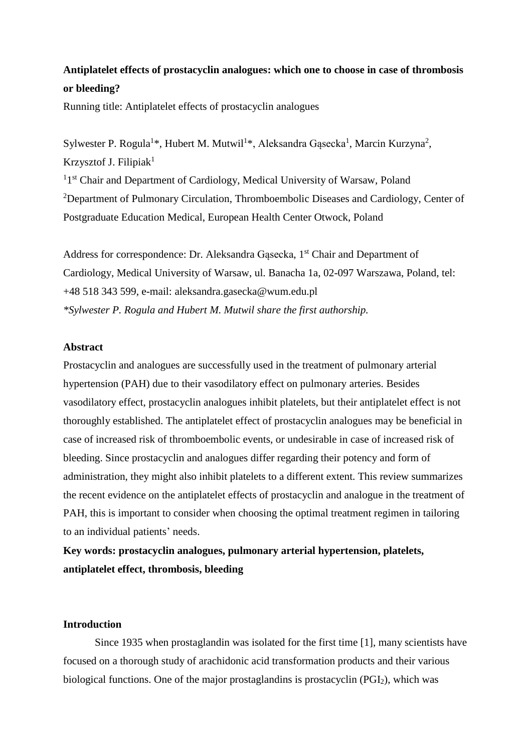## **Antiplatelet effects of prostacyclin analogues: which one to choose in case of thrombosis or bleeding?**

Running title: Antiplatelet effects of prostacyclin analogues

Sylwester P. Rogula<sup>1\*</sup>, Hubert M. Mutwil<sup>1\*</sup>, Aleksandra Gąsecka<sup>1</sup>, Marcin Kurzyna<sup>2</sup>, Krzysztof J. Filipiak<sup>1</sup>

<sup>1</sup>1<sup>st</sup> Chair and Department of Cardiology, Medical University of Warsaw, Poland <sup>2</sup>Department of Pulmonary Circulation, Thromboembolic Diseases and Cardiology, Center of Postgraduate Education Medical, European Health Center Otwock, Poland

Address for correspondence: Dr. Aleksandra Gąsecka, 1<sup>st</sup> Chair and Department of Cardiology, Medical University of Warsaw, ul. Banacha 1a, 02-097 Warszawa, Poland, tel: +48 518 343 599, e-mail: [aleksandra.gasecka@wum.edu.pl](mailto:aleksandra.gasecka@wum.edu.pl) *\*Sylwester P. Rogula and Hubert M. Mutwil share the first authorship.*

## **Abstract**

Prostacyclin and analogues are successfully used in the treatment of pulmonary arterial hypertension (PAH) due to their vasodilatory effect on pulmonary arteries. Besides vasodilatory effect, prostacyclin analogues inhibit platelets, but their antiplatelet effect is not thoroughly established. The antiplatelet effect of prostacyclin analogues may be beneficial in case of increased risk of thromboembolic events, or undesirable in case of increased risk of bleeding. Since prostacyclin and analogues differ regarding their potency and form of administration, they might also inhibit platelets to a different extent. This review summarizes the recent evidence on the antiplatelet effects of prostacyclin and analogue in the treatment of PAH, this is important to consider when choosing the optimal treatment regimen in tailoring to an individual patients' needs.

**Key words: prostacyclin analogues, pulmonary arterial hypertension, platelets, antiplatelet effect, thrombosis, bleeding**

## **Introduction**

Since 1935 when prostaglandin was isolated for the first time [1], many scientists have focused on a thorough study of arachidonic acid transformation products and their various biological functions. One of the major prostaglandins is prostacyclin (PGI2), which was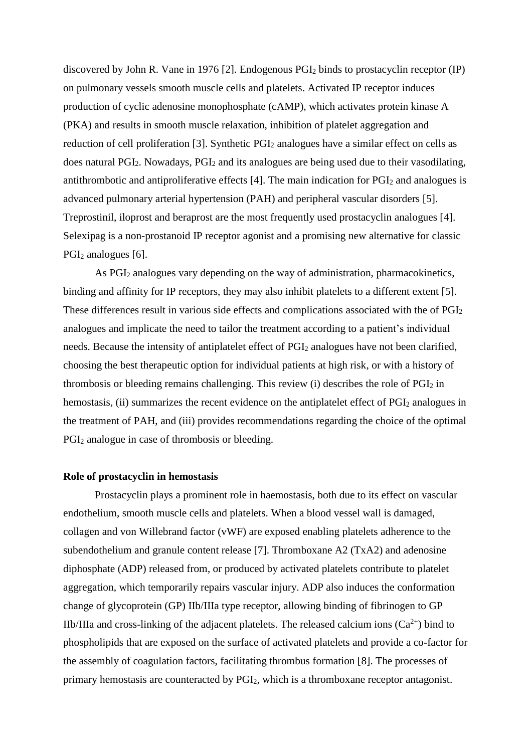discovered by John R. Vane in 1976 [2]. Endogenous PGI<sup>2</sup> binds to prostacyclin receptor (IP) on pulmonary vessels smooth muscle cells and platelets. Activated IP receptor induces production of cyclic adenosine monophosphate (cAMP), which activates protein kinase A (PKA) and results in smooth muscle relaxation, inhibition of platelet aggregation and reduction of cell proliferation [3]. Synthetic PGI<sub>2</sub> analogues have a similar effect on cells as does natural PGI<sub>2</sub>. Nowadays, PGI<sub>2</sub> and its analogues are being used due to their vasodilating, antithrombotic and antiproliferative effects  $[4]$ . The main indication for  $PGI<sub>2</sub>$  and analogues is advanced pulmonary arterial hypertension (PAH) and peripheral vascular disorders [5]. Treprostinil, iloprost and beraprost are the most frequently used prostacyclin analogues [4]. Selexipag is a non-prostanoid IP receptor agonist and a promising new alternative for classic PGI<sub>2</sub> analogues [6].

As PGI<sup>2</sup> analogues vary depending on the way of administration, pharmacokinetics, binding and affinity for IP receptors, they may also inhibit platelets to a different extent [5]. These differences result in various side effects and complications associated with the of PGI<sub>2</sub> analogues and implicate the need to tailor the treatment according to a patient's individual needs. Because the intensity of antiplatelet effect of PGI<sub>2</sub> analogues have not been clarified, choosing the best therapeutic option for individual patients at high risk, or with a history of thrombosis or bleeding remains challenging. This review (i) describes the role of PGI<sup>2</sup> in hemostasis, (ii) summarizes the recent evidence on the antiplatelet effect of PGI<sub>2</sub> analogues in the treatment of PAH, and (iii) provides recommendations regarding the choice of the optimal PGI<sup>2</sup> analogue in case of thrombosis or bleeding.

#### **Role of prostacyclin in hemostasis**

Prostacyclin plays a prominent role in haemostasis, both due to its effect on vascular endothelium, smooth muscle cells and platelets. When a blood vessel wall is damaged, collagen and von Willebrand factor (vWF) are exposed enabling platelets adherence to the subendothelium and granule content release [7]. Thromboxane A2 (TxA2) and adenosine diphosphate (ADP) released from, or produced by activated platelets contribute to platelet aggregation, which temporarily repairs vascular injury. ADP also induces the conformation change of glycoprotein (GP) IIb/IIIa type receptor, allowing binding of fibrinogen to GP IIb/IIIa and cross-linking of the adjacent platelets. The released calcium ions  $(Ca^{2+})$  bind to phospholipids that are exposed on the surface of activated platelets and provide a co-factor for the assembly of coagulation factors, facilitating thrombus formation [8]. The processes of primary hemostasis are counteracted by PGI2, which is a thromboxane receptor antagonist.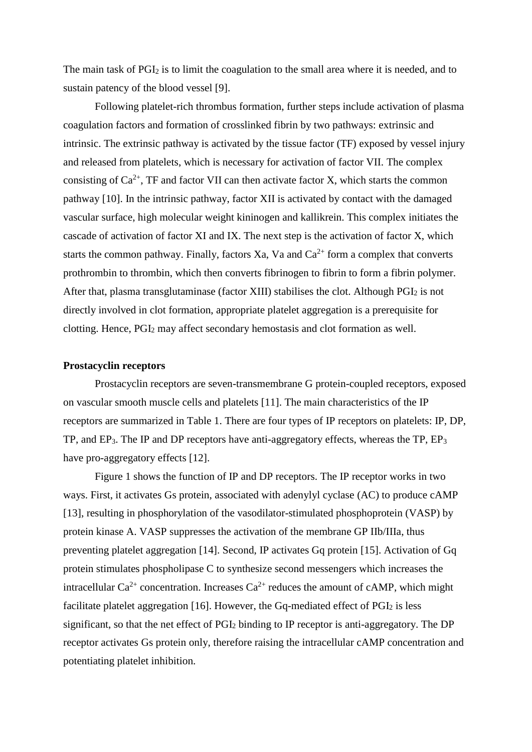The main task of  $PGI<sub>2</sub>$  is to limit the coagulation to the small area where it is needed, and to sustain patency of the blood vessel [9].

Following platelet-rich thrombus formation, further steps include activation of plasma coagulation factors and formation of crosslinked fibrin by two pathways: extrinsic and intrinsic. The extrinsic pathway is activated by the tissue factor (TF) exposed by vessel injury and released from platelets, which is necessary for activation of factor VII. The complex consisting of  $Ca^{2+}$ , TF and factor VII can then activate factor X, which starts the common pathway [10]. In the intrinsic pathway, factor XII is activated by contact with the damaged vascular surface, high molecular weight kininogen and kallikrein. This complex initiates the cascade of activation of factor XI and IX. The next step is the activation of factor X, which starts the common pathway. Finally, factors Xa, Va and  $Ca^{2+}$  form a complex that converts prothrombin to thrombin, which then converts fibrinogen to fibrin to form a fibrin polymer. After that, plasma transglutaminase (factor XIII) stabilises the clot. Although  $PGI<sub>2</sub>$  is not directly involved in clot formation, appropriate platelet aggregation is a prerequisite for clotting. Hence, PGI<sup>2</sup> may affect secondary hemostasis and clot formation as well.

#### **Prostacyclin receptors**

Prostacyclin receptors are seven-transmembrane G protein-coupled receptors, exposed on vascular smooth muscle cells and platelets [11]. The main characteristics of the IP receptors are summarized in Table 1. There are four types of IP receptors on platelets: IP, DP, TP, and EP3. The IP and DP receptors have anti-aggregatory effects, whereas the TP, EP<sup>3</sup> have pro-aggregatory effects [12].

Figure 1 shows the function of IP and DP receptors. The IP receptor works in two ways. First, it activates Gs protein, associated with adenylyl cyclase (AC) to produce cAMP [13], resulting in phosphorylation of the vasodilator-stimulated phosphoprotein (VASP) by protein kinase A. VASP suppresses the activation of the membrane GP IIb/IIIa, thus preventing platelet aggregation [14]. Second, IP activates Gq protein [15]. Activation of Gq protein stimulates phospholipase C to synthesize second messengers which increases the intracellular  $Ca^{2+}$  concentration. Increases  $Ca^{2+}$  reduces the amount of cAMP, which might facilitate platelet aggregation  $[16]$ . However, the Gq-mediated effect of  $PGI<sub>2</sub>$  is less significant, so that the net effect of PGI<sub>2</sub> binding to IP receptor is anti-aggregatory. The DP receptor activates Gs protein only, therefore raising the intracellular cAMP concentration and potentiating platelet inhibition.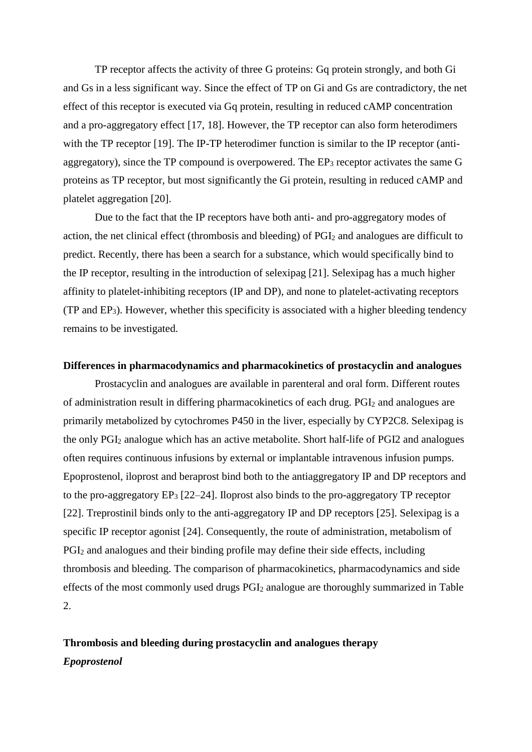TP receptor affects the activity of three G proteins: Gq protein strongly, and both Gi and Gs in a less significant way. Since the effect of TP on Gi and Gs are contradictory, the net effect of this receptor is executed via Gq protein, resulting in reduced cAMP concentration and a pro-aggregatory effect [17, 18]. However, the TP receptor can also form heterodimers with the TP receptor [19]. The IP-TP heterodimer function is similar to the IP receptor (antiaggregatory), since the TP compound is overpowered. The  $EP_3$  receptor activates the same G proteins as TP receptor, but most significantly the Gi protein, resulting in reduced cAMP and platelet aggregation [20].

Due to the fact that the IP receptors have both anti- and pro-aggregatory modes of action, the net clinical effect (thrombosis and bleeding) of PGI<sub>2</sub> and analogues are difficult to predict. Recently, there has been a search for a substance, which would specifically bind to the IP receptor, resulting in the introduction of selexipag [21]. Selexipag has a much higher affinity to platelet-inhibiting receptors (IP and DP), and none to platelet-activating receptors (TP and EP3). However, whether this specificity is associated with a higher bleeding tendency remains to be investigated.

### **Differences in pharmacodynamics and pharmacokinetics of prostacyclin and analogues**

Prostacyclin and analogues are available in parenteral and oral form. Different routes of administration result in differing pharmacokinetics of each drug. PGI<sup>2</sup> and analogues are primarily metabolized by cytochromes P450 in the liver, especially by CYP2C8. Selexipag is the only PGI<sup>2</sup> analogue which has an active metabolite. Short half-life of PGI2 and analogues often requires continuous infusions by external or implantable intravenous infusion pumps. Epoprostenol, iloprost and beraprost bind both to the antiaggregatory IP and DP receptors and to the pro-aggregatory  $EP_3$  [22–24]. Iloprost also binds to the pro-aggregatory TP receptor [22]. Treprostinil binds only to the anti-aggregatory IP and DP receptors [25]. Selexipag is a specific IP receptor agonist [24]. Consequently, the route of administration, metabolism of PGI<sup>2</sup> and analogues and their binding profile may define their side effects, including thrombosis and bleeding. The comparison of pharmacokinetics, pharmacodynamics and side effects of the most commonly used drugs PGI<sup>2</sup> analogue are thoroughly summarized in Table 2.

## **Thrombosis and bleeding during prostacyclin and analogues therapy** *Epoprostenol*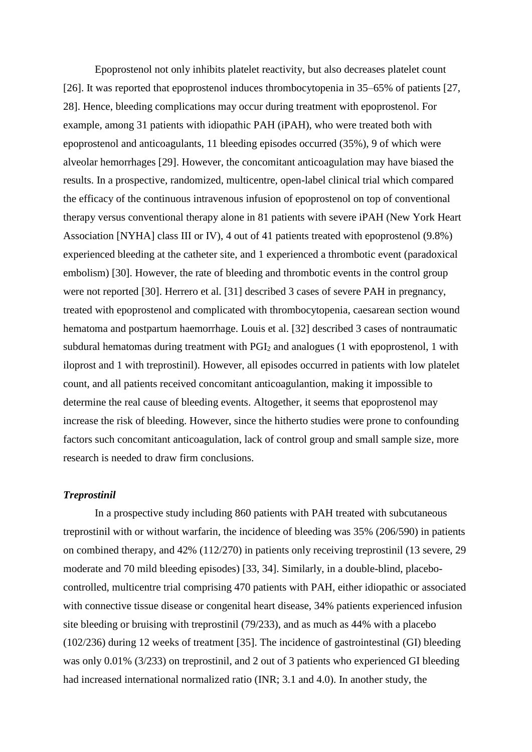Epoprostenol not only inhibits platelet reactivity, but also decreases platelet count [26]. It was reported that epoprostenol induces thrombocytopenia in 35–65% of patients [27, 28]. Hence, bleeding complications may occur during treatment with epoprostenol. For example, among 31 patients with idiopathic PAH (iPAH), who were treated both with epoprostenol and anticoagulants, 11 bleeding episodes occurred (35%), 9 of which were alveolar hemorrhages [29]. However, the concomitant anticoagulation may have biased the results. In a prospective, randomized, multicentre, open-label clinical trial which compared the efficacy of the continuous intravenous infusion of epoprostenol on top of conventional therapy versus conventional therapy alone in 81 patients with severe iPAH (New York Heart Association [NYHA] class III or IV), 4 out of 41 patients treated with epoprostenol (9.8%) experienced bleeding at the catheter site, and 1 experienced a thrombotic event (paradoxical embolism) [30]. However, the rate of bleeding and thrombotic events in the control group were not reported [30]. Herrero et al. [31] described 3 cases of severe PAH in pregnancy, treated with epoprostenol and complicated with thrombocytopenia, caesarean section wound hematoma and postpartum haemorrhage. Louis et al. [32] described 3 cases of nontraumatic subdural hematomas during treatment with PGI<sub>2</sub> and analogues (1 with epoprostenol, 1 with iloprost and 1 with treprostinil). However, all episodes occurred in patients with low platelet count, and all patients received concomitant anticoagulantion, making it impossible to determine the real cause of bleeding events. Altogether, it seems that epoprostenol may increase the risk of bleeding. However, since the hitherto studies were prone to confounding factors such concomitant anticoagulation, lack of control group and small sample size, more research is needed to draw firm conclusions.

## *Treprostinil*

In a prospective study including 860 patients with PAH treated with subcutaneous treprostinil with or without warfarin, the incidence of bleeding was 35% (206/590) in patients on combined therapy, and 42% (112/270) in patients only receiving treprostinil (13 severe, 29 moderate and 70 mild bleeding episodes) [33, 34]. Similarly, in a double-blind, placebocontrolled, multicentre trial comprising 470 patients with PAH, either idiopathic or associated with connective tissue disease or congenital heart disease, 34% patients experienced infusion site bleeding or bruising with treprostinil (79/233), and as much as 44% with a placebo (102/236) during 12 weeks of treatment [35]. The incidence of gastrointestinal (GI) bleeding was only 0.01% (3/233) on treprostinil, and 2 out of 3 patients who experienced GI bleeding had increased international normalized ratio (INR; 3.1 and 4.0). In another study, the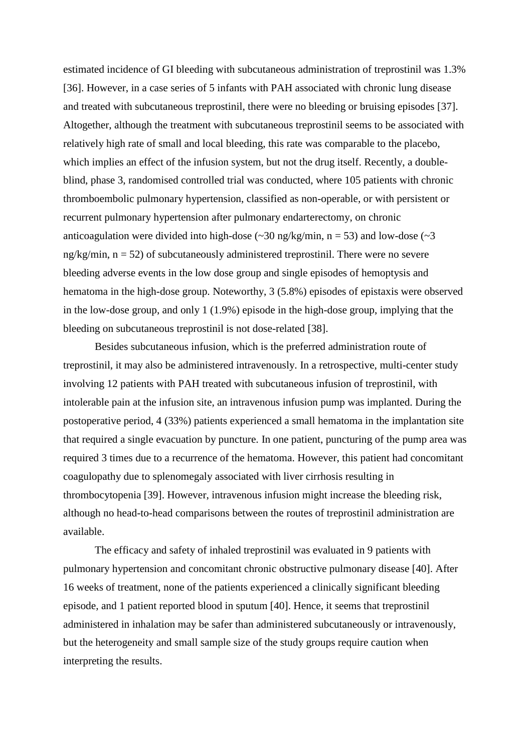estimated incidence of GI bleeding with subcutaneous administration of treprostinil was 1.3% [36]. However, in a case series of 5 infants with PAH associated with chronic lung disease and treated with subcutaneous treprostinil, there were no bleeding or bruising episodes [37]. Altogether, although the treatment with subcutaneous treprostinil seems to be associated with relatively high rate of small and local bleeding, this rate was comparable to the placebo, which implies an effect of the infusion system, but not the drug itself. Recently, a doubleblind, phase 3, randomised controlled trial was conducted, where 105 patients with chronic thromboembolic pulmonary hypertension, classified as non-operable, or with persistent or recurrent pulmonary hypertension after pulmonary endarterectomy, on chronic anticoagulation were divided into high-dose  $(\sim 30 \text{ ng/kg/min}, n = 53)$  and low-dose  $(\sim 3$ ng/kg/min,  $n = 52$ ) of subcutaneously administered treprostinil. There were no severe bleeding adverse events in the low dose group and single episodes of hemoptysis and hematoma in the high-dose group. Noteworthy, 3 (5.8%) episodes of epistaxis were observed in the low-dose group, and only 1 (1.9%) episode in the high-dose group, implying that the bleeding on subcutaneous treprostinil is not dose-related [38].

Besides subcutaneous infusion, which is the preferred administration route of treprostinil, it may also be administered intravenously. In a retrospective, multi-center study involving 12 patients with PAH treated with subcutaneous infusion of treprostinil, with intolerable pain at the infusion site, an intravenous infusion pump was implanted. During the postoperative period, 4 (33%) patients experienced a small hematoma in the implantation site that required a single evacuation by puncture. In one patient, puncturing of the pump area was required 3 times due to a recurrence of the hematoma. However, this patient had concomitant coagulopathy due to splenomegaly associated with liver cirrhosis resulting in thrombocytopenia [39]. However, intravenous infusion might increase the bleeding risk, although no head-to-head comparisons between the routes of treprostinil administration are available.

The efficacy and safety of inhaled treprostinil was evaluated in 9 patients with pulmonary hypertension and concomitant chronic obstructive pulmonary disease [40]. After 16 weeks of treatment, none of the patients experienced a clinically significant bleeding episode, and 1 patient reported blood in sputum [40]. Hence, it seems that treprostinil administered in inhalation may be safer than administered subcutaneously or intravenously, but the heterogeneity and small sample size of the study groups require caution when interpreting the results.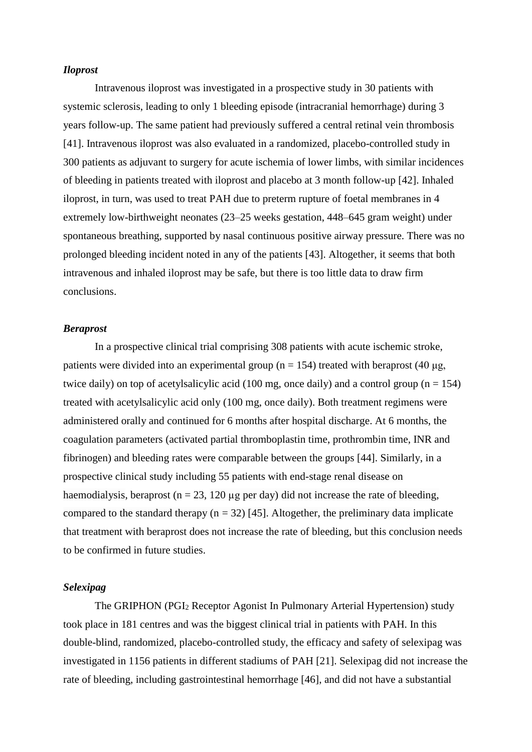#### *Iloprost*

Intravenous iloprost was investigated in a prospective study in 30 patients with systemic sclerosis, leading to only 1 bleeding episode (intracranial hemorrhage) during 3 years follow-up. The same patient had previously suffered a central retinal vein thrombosis [41]. Intravenous iloprost was also evaluated in a randomized, placebo-controlled study in 300 patients as adjuvant to surgery for acute ischemia of lower limbs, with similar incidences of bleeding in patients treated with iloprost and placebo at 3 month follow-up [42]. Inhaled iloprost, in turn, was used to treat PAH due to preterm rupture of foetal membranes in 4 extremely low-birthweight neonates (23–25 weeks gestation, 448–645 gram weight) under spontaneous breathing, supported by nasal continuous positive airway pressure. There was no prolonged bleeding incident noted in any of the patients [43]. Altogether, it seems that both intravenous and inhaled iloprost may be safe, but there is too little data to draw firm conclusions.

#### *Beraprost*

In a prospective clinical trial comprising 308 patients with acute ischemic stroke, patients were divided into an experimental group ( $n = 154$ ) treated with beraprost (40 µg, twice daily) on top of acetylsalicylic acid (100 mg, once daily) and a control group ( $n = 154$ ) treated with acetylsalicylic acid only (100 mg, once daily). Both treatment regimens were administered orally and continued for 6 months after hospital discharge. At 6 months, the coagulation parameters (activated partial thromboplastin time, prothrombin time, INR and fibrinogen) and bleeding rates were comparable between the groups [44]. Similarly, in a prospective clinical study including 55 patients with end-stage renal disease on haemodialysis, beraprost ( $n = 23$ , 120 µg per day) did not increase the rate of bleeding, compared to the standard therapy ( $n = 32$ ) [45]. Altogether, the preliminary data implicate that treatment with beraprost does not increase the rate of bleeding, but this conclusion needs to be confirmed in future studies.

### *Selexipag*

The GRIPHON (PGI<sup>2</sup> Receptor Agonist In Pulmonary Arterial Hypertension) study took place in 181 centres and was the biggest clinical trial in patients with PAH. In this double-blind, randomized, placebo-controlled study, the efficacy and safety of selexipag was investigated in 1156 patients in different stadiums of PAH [21]. Selexipag did not increase the rate of bleeding, including gastrointestinal hemorrhage [46], and did not have a substantial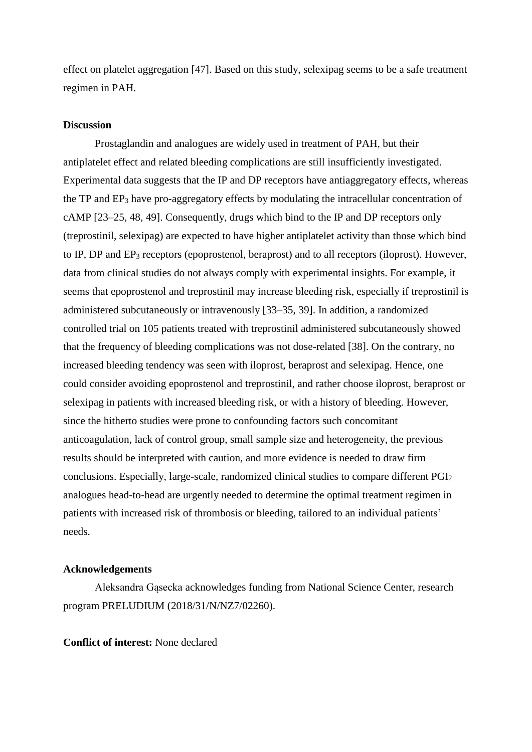effect on platelet aggregation [47]. Based on this study, selexipag seems to be a safe treatment regimen in PAH.

## **Discussion**

Prostaglandin and analogues are widely used in treatment of PAH, but their antiplatelet effect and related bleeding complications are still insufficiently investigated. Experimental data suggests that the IP and DP receptors have antiaggregatory effects, whereas the TP and EP<sup>3</sup> have pro-aggregatory effects by modulating the intracellular concentration of cAMP [23–25, 48, 49]. Consequently, drugs which bind to the IP and DP receptors only (treprostinil, selexipag) are expected to have higher antiplatelet activity than those which bind to IP, DP and EP<sub>3</sub> receptors (epoprostenol, beraprost) and to all receptors (iloprost). However, data from clinical studies do not always comply with experimental insights. For example, it seems that epoprostenol and treprostinil may increase bleeding risk, especially if treprostinil is administered subcutaneously or intravenously [33–35, 39]. In addition, a randomized controlled trial on 105 patients treated with treprostinil administered subcutaneously showed that the frequency of bleeding complications was not dose-related [38]. On the contrary, no increased bleeding tendency was seen with iloprost, beraprost and selexipag. Hence, one could consider avoiding epoprostenol and treprostinil, and rather choose iloprost, beraprost or selexipag in patients with increased bleeding risk, or with a history of bleeding. However, since the hitherto studies were prone to confounding factors such concomitant anticoagulation, lack of control group, small sample size and heterogeneity, the previous results should be interpreted with caution, and more evidence is needed to draw firm conclusions. Especially, large-scale, randomized clinical studies to compare different PGI<sup>2</sup> analogues head-to-head are urgently needed to determine the optimal treatment regimen in patients with increased risk of thrombosis or bleeding, tailored to an individual patients' needs.

#### **Acknowledgements**

Aleksandra Gąsecka acknowledges funding from National Science Center, research program PRELUDIUM (2018/31/N/NZ7/02260).

**Conflict of interest:** None declared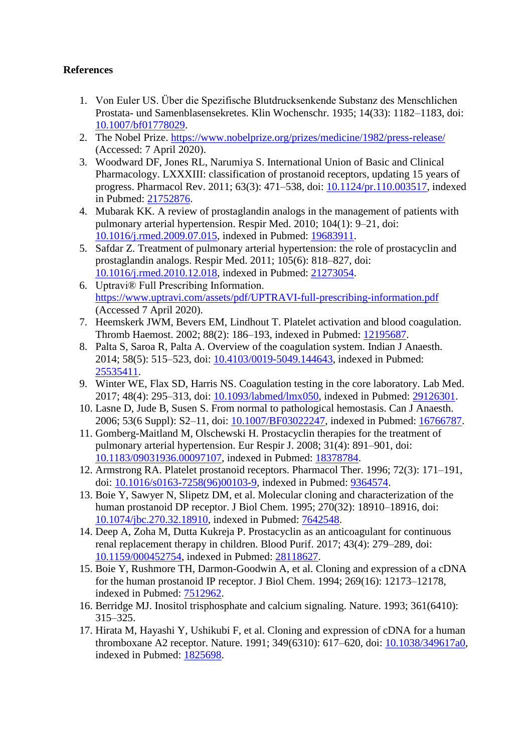## **References**

- 1. Von Euler US. Über die Spezifische Blutdrucksenkende Substanz des Menschlichen Prostata- und Samenblasensekretes. Klin Wochenschr. 1935; 14(33): 1182–1183, doi: [10.1007/bf01778029.](http://dx.doi.org/10.1007/bf01778029)
- 2. The Nobel Prize.<https://www.nobelprize.org/prizes/medicine/1982/press-release/> (Accessed: 7 April 2020).
- 3. Woodward DF, Jones RL, Narumiya S. International Union of Basic and Clinical Pharmacology. LXXXIII: classification of prostanoid receptors, updating 15 years of progress. Pharmacol Rev. 2011; 63(3): 471–538, doi: [10.1124/pr.110.003517,](http://dx.doi.org/10.1124/pr.110.003517) indexed in Pubmed: [21752876.](https://www.ncbi.nlm.nih.gov/pubmed/21752876)
- 4. Mubarak KK. A review of prostaglandin analogs in the management of patients with pulmonary arterial hypertension. Respir Med. 2010; 104(1): 9–21, doi: [10.1016/j.rmed.2009.07.015,](http://dx.doi.org/10.1016/j.rmed.2009.07.015) indexed in Pubmed: [19683911.](https://www.ncbi.nlm.nih.gov/pubmed/19683911)
- 5. Safdar Z. Treatment of pulmonary arterial hypertension: the role of prostacyclin and prostaglandin analogs. Respir Med. 2011; 105(6): 818–827, doi: [10.1016/j.rmed.2010.12.018,](http://dx.doi.org/10.1016/j.rmed.2010.12.018) indexed in Pubmed: [21273054.](https://www.ncbi.nlm.nih.gov/pubmed/21273054)
- 6. Uptravi® Full Prescribing Information. <https://www.uptravi.com/assets/pdf/UPTRAVI-full-prescribing-information.pdf> (Accessed 7 April 2020).
- 7. Heemskerk JWM, Bevers EM, Lindhout T. Platelet activation and blood coagulation. Thromb Haemost. 2002; 88(2): 186–193, indexed in Pubmed: [12195687.](https://www.ncbi.nlm.nih.gov/pubmed/12195687)
- 8. Palta S, Saroa R, Palta A. Overview of the coagulation system. Indian J Anaesth. 2014; 58(5): 515–523, doi: [10.4103/0019-5049.144643,](http://dx.doi.org/10.4103/0019-5049.144643) indexed in Pubmed: [25535411.](https://www.ncbi.nlm.nih.gov/pubmed/25535411)
- 9. Winter WE, Flax SD, Harris NS. Coagulation testing in the core laboratory. Lab Med. 2017; 48(4): 295–313, doi: [10.1093/labmed/lmx050,](http://dx.doi.org/10.1093/labmed/lmx050) indexed in Pubmed: [29126301.](https://www.ncbi.nlm.nih.gov/pubmed/29126301)
- 10. Lasne D, Jude B, Susen S. From normal to pathological hemostasis. Can J Anaesth. 2006; 53(6 Suppl): S2–11, doi: [10.1007/BF03022247,](http://dx.doi.org/10.1007/BF03022247) indexed in Pubmed: [16766787.](https://www.ncbi.nlm.nih.gov/pubmed/16766787)
- 11. Gomberg-Maitland M, Olschewski H. Prostacyclin therapies for the treatment of pulmonary arterial hypertension. Eur Respir J. 2008; 31(4): 891–901, doi: [10.1183/09031936.00097107,](http://dx.doi.org/10.1183/09031936.00097107) indexed in Pubmed: [18378784.](https://www.ncbi.nlm.nih.gov/pubmed/18378784)
- 12. Armstrong RA. Platelet prostanoid receptors. Pharmacol Ther. 1996; 72(3): 171–191, doi: [10.1016/s0163-7258\(96\)00103-9,](http://dx.doi.org/10.1016/s0163-7258(96)00103-9) indexed in Pubmed: [9364574.](https://www.ncbi.nlm.nih.gov/pubmed/9364574)
- 13. Boie Y, Sawyer N, Slipetz DM, et al. Molecular cloning and characterization of the human prostanoid DP receptor. J Biol Chem. 1995; 270(32): 18910–18916, doi: [10.1074/jbc.270.32.18910,](http://dx.doi.org/10.1074/jbc.270.32.18910) indexed in Pubmed: [7642548.](https://www.ncbi.nlm.nih.gov/pubmed/7642548)
- 14. Deep A, Zoha M, Dutta Kukreja P. Prostacyclin as an anticoagulant for continuous renal replacement therapy in children. Blood Purif. 2017; 43(4): 279–289, doi: [10.1159/000452754,](http://dx.doi.org/10.1159/000452754) indexed in Pubmed: [28118627.](https://www.ncbi.nlm.nih.gov/pubmed/28118627)
- 15. Boie Y, Rushmore TH, Darmon-Goodwin A, et al. Cloning and expression of a cDNA for the human prostanoid IP receptor. J Biol Chem. 1994; 269(16): 12173–12178, indexed in Pubmed: [7512962.](https://www.ncbi.nlm.nih.gov/pubmed/7512962)
- 16. Berridge MJ. Inositol trisphosphate and calcium signaling. Nature. 1993; 361(6410): 315–325.
- 17. Hirata M, Hayashi Y, Ushikubi F, et al. Cloning and expression of cDNA for a human thromboxane A2 receptor. Nature. 1991; 349(6310): 617–620, doi: [10.1038/349617a0,](http://dx.doi.org/10.1038/349617a0) indexed in Pubmed: [1825698.](https://www.ncbi.nlm.nih.gov/pubmed/1825698)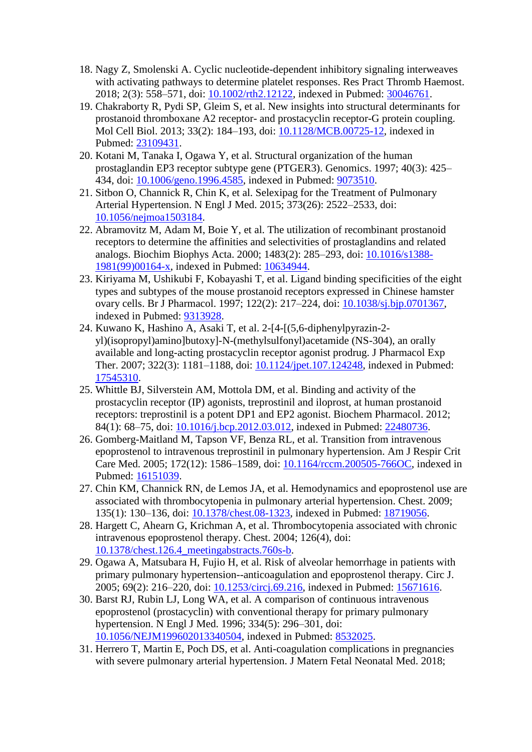- 18. Nagy Z, Smolenski A. Cyclic nucleotide-dependent inhibitory signaling interweaves with activating pathways to determine platelet responses. Res Pract Thromb Haemost. 2018; 2(3): 558–571, doi: [10.1002/rth2.12122,](http://dx.doi.org/10.1002/rth2.12122) indexed in Pubmed: [30046761.](https://www.ncbi.nlm.nih.gov/pubmed/30046761)
- 19. Chakraborty R, Pydi SP, Gleim S, et al. New insights into structural determinants for prostanoid thromboxane A2 receptor- and prostacyclin receptor-G protein coupling. Mol Cell Biol. 2013; 33(2): 184–193, doi: [10.1128/MCB.00725-12,](http://dx.doi.org/10.1128/MCB.00725-12) indexed in Pubmed: [23109431.](https://www.ncbi.nlm.nih.gov/pubmed/23109431)
- 20. Kotani M, Tanaka I, Ogawa Y, et al. Structural organization of the human prostaglandin EP3 receptor subtype gene (PTGER3). Genomics. 1997; 40(3): 425– 434, doi: [10.1006/geno.1996.4585,](http://dx.doi.org/10.1006/geno.1996.4585) indexed in Pubmed: [9073510.](https://www.ncbi.nlm.nih.gov/pubmed/9073510)
- 21. Sitbon O, Channick R, Chin K, et al. Selexipag for the Treatment of Pulmonary Arterial Hypertension. N Engl J Med. 2015; 373(26): 2522–2533, doi: [10.1056/nejmoa1503184.](http://dx.doi.org/10.1056/nejmoa1503184)
- 22. Abramovitz M, Adam M, Boie Y, et al. The utilization of recombinant prostanoid receptors to determine the affinities and selectivities of prostaglandins and related analogs. Biochim Biophys Acta. 2000; 1483(2): 285–293, doi: [10.1016/s1388-](http://dx.doi.org/10.1016/s1388-1981(99)00164-x) [1981\(99\)00164-x,](http://dx.doi.org/10.1016/s1388-1981(99)00164-x) indexed in Pubmed: [10634944.](https://www.ncbi.nlm.nih.gov/pubmed/10634944)
- 23. Kiriyama M, Ushikubi F, Kobayashi T, et al. Ligand binding specificities of the eight types and subtypes of the mouse prostanoid receptors expressed in Chinese hamster ovary cells. Br J Pharmacol. 1997; 122(2): 217–224, doi: [10.1038/sj.bjp.0701367,](http://dx.doi.org/10.1038/sj.bjp.0701367) indexed in Pubmed: [9313928.](https://www.ncbi.nlm.nih.gov/pubmed/9313928)
- 24. Kuwano K, Hashino  $\overline{A}$ , Asaki T, et al. 2-[4-[(5,6-diphenylpyrazin-2yl)(isopropyl)amino]butoxy]-N-(methylsulfonyl)acetamide (NS-304), an orally available and long-acting prostacyclin receptor agonist prodrug. J Pharmacol Exp Ther. 2007; 322(3): 1181–1188, doi: [10.1124/jpet.107.124248,](http://dx.doi.org/10.1124/jpet.107.124248) indexed in Pubmed: [17545310.](https://www.ncbi.nlm.nih.gov/pubmed/17545310)
- 25. Whittle BJ, Silverstein AM, Mottola DM, et al. Binding and activity of the prostacyclin receptor (IP) agonists, treprostinil and iloprost, at human prostanoid receptors: treprostinil is a potent DP1 and EP2 agonist. Biochem Pharmacol. 2012; 84(1): 68–75, doi: [10.1016/j.bcp.2012.03.012,](http://dx.doi.org/10.1016/j.bcp.2012.03.012) indexed in Pubmed: [22480736.](https://www.ncbi.nlm.nih.gov/pubmed/22480736)
- 26. Gomberg-Maitland M, Tapson VF, Benza RL, et al. Transition from intravenous epoprostenol to intravenous treprostinil in pulmonary hypertension. Am J Respir Crit Care Med. 2005; 172(12): 1586–1589, doi: [10.1164/rccm.200505-766OC,](http://dx.doi.org/10.1164/rccm.200505-766OC) indexed in Pubmed: [16151039.](https://www.ncbi.nlm.nih.gov/pubmed/16151039)
- 27. Chin KM, Channick RN, de Lemos JA, et al. Hemodynamics and epoprostenol use are associated with thrombocytopenia in pulmonary arterial hypertension. Chest. 2009; 135(1): 130–136, doi: [10.1378/chest.08-1323,](http://dx.doi.org/10.1378/chest.08-1323) indexed in Pubmed: [18719056.](https://www.ncbi.nlm.nih.gov/pubmed/18719056)
- 28. Hargett C, Ahearn G, Krichman A, et al. Thrombocytopenia associated with chronic intravenous epoprostenol therapy. Chest. 2004; 126(4), doi: [10.1378/chest.126.4\\_meetingabstracts.760s-b.](http://dx.doi.org/10.1378/chest.126.4_meetingabstracts.760s-b)
- 29. Ogawa A, Matsubara H, Fujio H, et al. Risk of alveolar hemorrhage in patients with primary pulmonary hypertension--anticoagulation and epoprostenol therapy. Circ J. 2005; 69(2): 216–220, doi: [10.1253/circj.69.216,](http://dx.doi.org/10.1253/circj.69.216) indexed in Pubmed: [15671616.](https://www.ncbi.nlm.nih.gov/pubmed/15671616)
- 30. Barst RJ, Rubin LJ, Long WA, et al. A comparison of continuous intravenous epoprostenol (prostacyclin) with conventional therapy for primary pulmonary hypertension. N Engl J Med. 1996; 334(5): 296–301, doi: [10.1056/NEJM199602013340504,](http://dx.doi.org/10.1056/NEJM199602013340504) indexed in Pubmed: [8532025.](https://www.ncbi.nlm.nih.gov/pubmed/8532025)
- 31. Herrero T, Martin E, Poch DS, et al. Anti-coagulation complications in pregnancies with severe pulmonary arterial hypertension. J Matern Fetal Neonatal Med. 2018;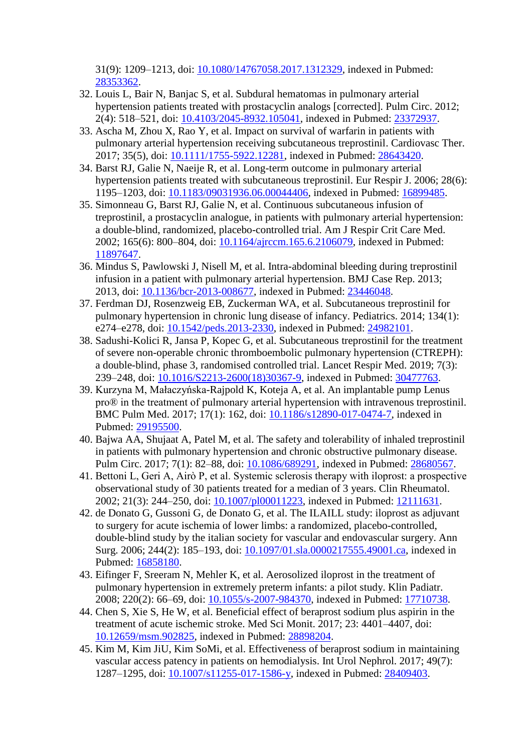31(9): 1209–1213, doi: [10.1080/14767058.2017.1312329,](http://dx.doi.org/10.1080/14767058.2017.1312329) indexed in Pubmed: [28353362.](https://www.ncbi.nlm.nih.gov/pubmed/28353362)

- 32. Louis L, Bair N, Banjac S, et al. Subdural hematomas in pulmonary arterial hypertension patients treated with prostacyclin analogs [corrected]. Pulm Circ. 2012; 2(4): 518–521, doi: [10.4103/2045-8932.105041,](http://dx.doi.org/10.4103/2045-8932.105041) indexed in Pubmed: [23372937.](https://www.ncbi.nlm.nih.gov/pubmed/23372937)
- 33. Ascha M, Zhou X, Rao Y, et al. Impact on survival of warfarin in patients with pulmonary arterial hypertension receiving subcutaneous treprostinil. Cardiovasc Ther. 2017; 35(5), doi: [10.1111/1755-5922.12281,](http://dx.doi.org/10.1111/1755-5922.12281) indexed in Pubmed: [28643420.](https://www.ncbi.nlm.nih.gov/pubmed/28643420)
- 34. Barst RJ, Galie N, Naeije R, et al. Long-term outcome in pulmonary arterial hypertension patients treated with subcutaneous treprostinil. Eur Respir J. 2006; 28(6): 1195–1203, doi: [10.1183/09031936.06.00044406,](http://dx.doi.org/10.1183/09031936.06.00044406) indexed in Pubmed: [16899485.](https://www.ncbi.nlm.nih.gov/pubmed/16899485)
- 35. Simonneau G, Barst RJ, Galie N, et al. Continuous subcutaneous infusion of treprostinil, a prostacyclin analogue, in patients with pulmonary arterial hypertension: a double-blind, randomized, placebo-controlled trial. Am J Respir Crit Care Med. 2002; 165(6): 800–804, doi: [10.1164/ajrccm.165.6.2106079,](http://dx.doi.org/10.1164/ajrccm.165.6.2106079) indexed in Pubmed: [11897647.](https://www.ncbi.nlm.nih.gov/pubmed/11897647)
- 36. Mindus S, Pawlowski J, Nisell M, et al. Intra-abdominal bleeding during treprostinil infusion in a patient with pulmonary arterial hypertension. BMJ Case Rep. 2013; 2013, doi: [10.1136/bcr-2013-008677,](http://dx.doi.org/10.1136/bcr-2013-008677) indexed in Pubmed: [23446048.](https://www.ncbi.nlm.nih.gov/pubmed/23446048)
- 37. Ferdman DJ, Rosenzweig EB, Zuckerman WA, et al. Subcutaneous treprostinil for pulmonary hypertension in chronic lung disease of infancy. Pediatrics. 2014; 134(1): e274–e278, doi: [10.1542/peds.2013-2330,](http://dx.doi.org/10.1542/peds.2013-2330) indexed in Pubmed: [24982101.](https://www.ncbi.nlm.nih.gov/pubmed/24982101)
- 38. Sadushi-Kolici R, Jansa P, Kopec G, et al. Subcutaneous treprostinil for the treatment of severe non-operable chronic thromboembolic pulmonary hypertension (CTREPH): a double-blind, phase 3, randomised controlled trial. Lancet Respir Med. 2019; 7(3): 239–248, doi: [10.1016/S2213-2600\(18\)30367-9,](http://dx.doi.org/10.1016/S2213-2600(18)30367-9) indexed in Pubmed: [30477763.](https://www.ncbi.nlm.nih.gov/pubmed/30477763)
- 39. Kurzyna M, Małaczyńska-Rajpold K, Koteja A, et al. An implantable pump Lenus pro® in the treatment of pulmonary arterial hypertension with intravenous treprostinil. BMC Pulm Med. 2017; 17(1): 162, doi: [10.1186/s12890-017-0474-7,](http://dx.doi.org/10.1186/s12890-017-0474-7) indexed in Pubmed: [29195500.](https://www.ncbi.nlm.nih.gov/pubmed/29195500)
- 40. Bajwa AA, Shujaat A, Patel M, et al. The safety and tolerability of inhaled treprostinil in patients with pulmonary hypertension and chronic obstructive pulmonary disease. Pulm Circ. 2017; 7(1): 82–88, doi: [10.1086/689291,](http://dx.doi.org/10.1086/689291) indexed in Pubmed: [28680567.](https://www.ncbi.nlm.nih.gov/pubmed/28680567)
- 41. Bettoni L, Geri A, Airò P, et al. Systemic sclerosis therapy with iloprost: a prospective observational study of 30 patients treated for a median of 3 years. Clin Rheumatol. 2002; 21(3): 244–250, doi: [10.1007/pl00011223,](http://dx.doi.org/10.1007/pl00011223) indexed in Pubmed: [12111631.](https://www.ncbi.nlm.nih.gov/pubmed/12111631)
- 42. de Donato G, Gussoni G, de Donato G, et al. The ILAILL study: iloprost as adjuvant to surgery for acute ischemia of lower limbs: a randomized, placebo-controlled, double-blind study by the italian society for vascular and endovascular surgery. Ann Surg. 2006; 244(2): 185–193, doi: [10.1097/01.sla.0000217555.49001.ca,](http://dx.doi.org/10.1097/01.sla.0000217555.49001.ca) indexed in Pubmed: [16858180.](https://www.ncbi.nlm.nih.gov/pubmed/16858180)
- 43. Eifinger F, Sreeram N, Mehler K, et al. Aerosolized iloprost in the treatment of pulmonary hypertension in extremely preterm infants: a pilot study. Klin Padiatr. 2008; 220(2): 66–69, doi: [10.1055/s-2007-984370,](http://dx.doi.org/10.1055/s-2007-984370) indexed in Pubmed: [17710738.](https://www.ncbi.nlm.nih.gov/pubmed/17710738)
- 44. Chen S, Xie S, He W, et al. Beneficial effect of beraprost sodium plus aspirin in the treatment of acute ischemic stroke. Med Sci Monit. 2017; 23: 4401–4407, doi: [10.12659/msm.902825,](http://dx.doi.org/10.12659/msm.902825) indexed in Pubmed: [28898204.](https://www.ncbi.nlm.nih.gov/pubmed/28898204)
- 45. Kim M, Kim JiU, Kim SoMi, et al. Effectiveness of beraprost sodium in maintaining vascular access patency in patients on hemodialysis. Int Urol Nephrol. 2017; 49(7): 1287–1295, doi: [10.1007/s11255-017-1586-y,](http://dx.doi.org/10.1007/s11255-017-1586-y) indexed in Pubmed: [28409403.](https://www.ncbi.nlm.nih.gov/pubmed/28409403)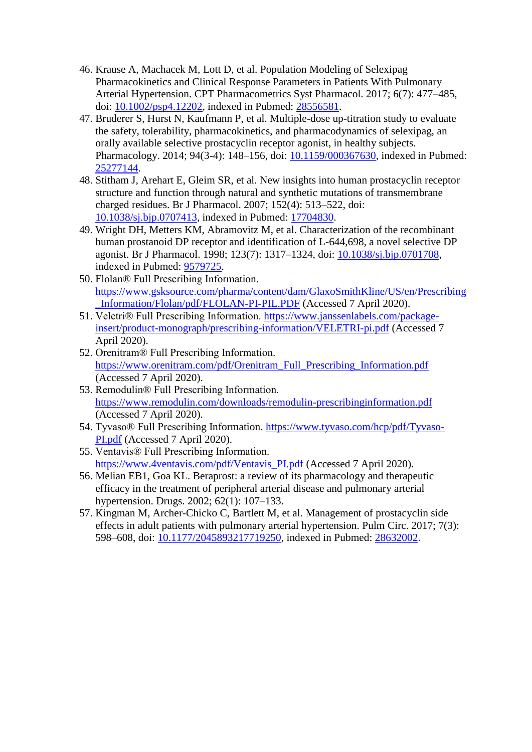- 46. Krause A, Machacek M, Lott D, et al. Population Modeling of Selexipag Pharmacokinetics and Clinical Response Parameters in Patients With Pulmonary Arterial Hypertension. CPT Pharmacometrics Syst Pharmacol. 2017; 6(7): 477–485, doi: [10.1002/psp4.12202,](http://dx.doi.org/10.1002/psp4.12202) indexed in Pubmed: [28556581.](https://www.ncbi.nlm.nih.gov/pubmed/28556581)
- 47. Bruderer S, Hurst N, Kaufmann P, et al. Multiple-dose up-titration study to evaluate the safety, tolerability, pharmacokinetics, and pharmacodynamics of selexipag, an orally available selective prostacyclin receptor agonist, in healthy subjects. Pharmacology. 2014; 94(3-4): 148–156, doi: [10.1159/000367630,](http://dx.doi.org/10.1159/000367630) indexed in Pubmed: [25277144.](https://www.ncbi.nlm.nih.gov/pubmed/25277144)
- 48. Stitham J, Arehart E, Gleim SR, et al. New insights into human prostacyclin receptor structure and function through natural and synthetic mutations of transmembrane charged residues. Br J Pharmacol. 2007; 152(4): 513–522, doi: [10.1038/sj.bjp.0707413,](http://dx.doi.org/10.1038/sj.bjp.0707413) indexed in Pubmed: [17704830.](https://www.ncbi.nlm.nih.gov/pubmed/17704830)
- 49. Wright DH, Metters KM, Abramovitz M, et al. Characterization of the recombinant human prostanoid DP receptor and identification of L-644,698, a novel selective DP agonist. Br J Pharmacol. 1998; 123(7): 1317–1324, doi: [10.1038/sj.bjp.0701708,](http://dx.doi.org/10.1038/sj.bjp.0701708) indexed in Pubmed: [9579725.](https://www.ncbi.nlm.nih.gov/pubmed/9579725)
- 50. Flolan® Full Prescribing Information. [https://www.gsksource.com/pharma/content/dam/GlaxoSmithKline/US/en/Prescribing](https://www.gsksource.com/pharma/content/dam/GlaxoSmithKline/US/en/Prescribing_Information/Flolan/pdf/FLOLAN-PI-PIL.PDF) [\\_Information/Flolan/pdf/FLOLAN-PI-PIL.PDF](https://www.gsksource.com/pharma/content/dam/GlaxoSmithKline/US/en/Prescribing_Information/Flolan/pdf/FLOLAN-PI-PIL.PDF) (Accessed 7 April 2020).
- 51. Veletri® Full Prescribing Information. [https://www.janssenlabels.com/package](https://www.janssenlabels.com/package-insert/product-monograph/prescribing-information/VELETRI-pi.pdf)[insert/product-monograph/prescribing-information/VELETRI-pi.pdf](https://www.janssenlabels.com/package-insert/product-monograph/prescribing-information/VELETRI-pi.pdf) (Accessed 7 April 2020).
- 52. Orenitram® Full Prescribing Information. [https://www.orenitram.com/pdf/Orenitram\\_Full\\_Prescribing\\_Information.pdf](https://www.orenitram.com/pdf/Orenitram_Full_Prescribing_Information.pdf) (Accessed 7 April 2020).
- 53. Remodulin® Full Prescribing Information. <https://www.remodulin.com/downloads/remodulin-prescribinginformation.pdf> (Accessed 7 April 2020).
- 54. Tyvaso® Full Prescribing Information. [https://www.tyvaso.com/hcp/pdf/Tyvaso-](https://www.tyvaso.com/hcp/pdf/Tyvaso-PI.pdf)[PI.pdf](https://www.tyvaso.com/hcp/pdf/Tyvaso-PI.pdf) (Accessed 7 April 2020).
- 55. Ventavis® Full Prescribing Information. [https://www.4ventavis.com/pdf/Ventavis\\_PI.pdf](https://www.4ventavis.com/pdf/Ventavis_PI.pdf) (Accessed 7 April 2020).
- 56. Melian EB1, Goa KL. Beraprost: a review of its pharmacology and therapeutic efficacy in the treatment of peripheral arterial disease and pulmonary arterial hypertension. Drugs. 2002; 62(1): 107–133.
- 57. Kingman M, Archer-Chicko C, Bartlett M, et al. Management of prostacyclin side effects in adult patients with pulmonary arterial hypertension. Pulm Circ. 2017; 7(3): 598–608, doi: [10.1177/2045893217719250,](http://dx.doi.org/10.1177/2045893217719250) indexed in Pubmed: [28632002.](https://www.ncbi.nlm.nih.gov/pubmed/28632002)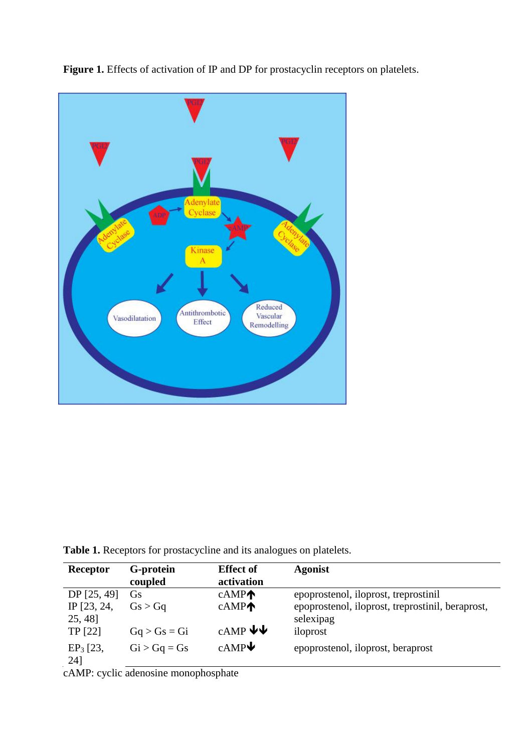

Figure 1. Effects of activation of IP and DP for prostacyclin receptors on platelets.

**Table 1.** Receptors for prostacycline and its analogues on platelets.

| Receptor                               | G-protein      | <b>Effect of</b>  | <b>Agonist</b>                                   |
|----------------------------------------|----------------|-------------------|--------------------------------------------------|
|                                        | coupled        | activation        |                                                  |
| DP [25, 49]                            | <b>G</b> s     | cAMP              | epoprostenol, iloprost, treprostinil             |
| IP [23, 24,                            | Gs > Ga        | cAMP              | epoprostenol, iloprost, treprostinil, beraprost, |
| 25, 48]                                |                |                   | selexipag                                        |
| TP [22]                                | $Gq > Gs = Gi$ | $c$ AMP $\bigvee$ | iloprost                                         |
| $EP_3$ [23,                            | $Gi > Gq = Gs$ | cAMP              | epoprostenol, iloprost, beraprost                |
| 24]                                    |                |                   |                                                  |
| $\bullet$<br>$\mathbf{1}$ $\mathbf{1}$ |                |                   |                                                  |

cAMP: cyclic adenosine monophosphate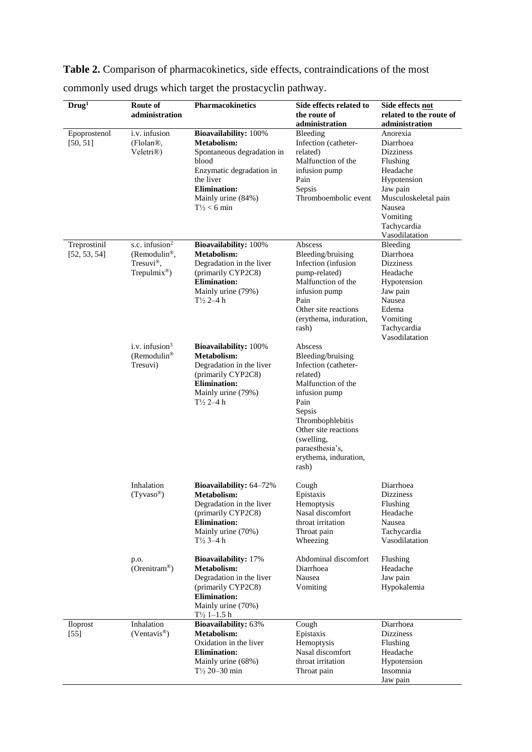| Drug <sup>1</sup>            | Route of<br>administration                                                                           | Pharmacokinetics                                                                                                                                                                                          | Side effects related to<br>the route of                                                                                                                                                                                                  | Side effects not<br>related to the route of                                                                                                                                                   |
|------------------------------|------------------------------------------------------------------------------------------------------|-----------------------------------------------------------------------------------------------------------------------------------------------------------------------------------------------------------|------------------------------------------------------------------------------------------------------------------------------------------------------------------------------------------------------------------------------------------|-----------------------------------------------------------------------------------------------------------------------------------------------------------------------------------------------|
| Epoprostenol<br>[50, 51]     | i.v. infusion<br>(Flolan®,<br>Veletri®)                                                              | <b>Bioavailability: 100%</b><br><b>Metabolism:</b><br>Spontaneous degradation in<br>blood<br>Enzymatic degradation in<br>the liver<br><b>Elimination:</b><br>Mainly urine (84%)<br>$T\frac{1}{2} < 6$ min | administration<br>Bleeding<br>Infection (catheter-<br>related)<br>Malfunction of the<br>infusion pump<br>Pain<br>Sepsis<br>Thromboembolic event                                                                                          | administration<br>Anorexia<br>Diarrhoea<br><b>Dizziness</b><br>Flushing<br>Headache<br>Hypotension<br>Jaw pain<br>Musculoskeletal pain<br>Nausea<br>Vomiting<br>Tachycardia<br>Vasodilatation |
| Treprostinil<br>[52, 53, 54] | s.c. infusion $2$<br>(Remodulin <sup>®</sup> ,<br>Tresuvi <sup>®</sup> ,<br>Trepulmix <sup>®</sup> ) | <b>Bioavailability: 100%</b><br>Metabolism:<br>Degradation in the liver<br>(primarily CYP2C8)<br><b>Elimination:</b><br>Mainly urine (79%)<br>$T\frac{1}{2}$ 2-4 h                                        | Abscess<br>Bleeding/bruising<br>Infection (infusion<br>pump-related)<br>Malfunction of the<br>infusion pump<br>Pain<br>Other site reactions<br>(erythema, induration,<br>rash)                                                           | Bleeding<br>Diarrhoea<br><b>Dizziness</b><br>Headache<br>Hypotension<br>Jaw pain<br>Nausea<br>Edema<br>Vomiting<br>Tachycardia<br>Vasodilatation                                              |
|                              | i.v. infusion $3$<br>(Remodulin <sup>®</sup><br>Tresuvi)                                             | <b>Bioavailability:</b> 100%<br><b>Metabolism:</b><br>Degradation in the liver<br>(primarily CYP2C8)<br><b>Elimination:</b><br>Mainly urine (79%)<br>$T\frac{1}{2}$ 2-4 h                                 | Abscess<br>Bleeding/bruising<br>Infection (catheter-<br>related)<br>Malfunction of the<br>infusion pump<br>Pain<br>Sepsis<br>Thrombophlebitis<br>Other site reactions<br>(swelling,<br>paraesthesia's,<br>erythema, induration,<br>rash) |                                                                                                                                                                                               |
|                              | Inhalation<br>(Tyvaso®)                                                                              | <b>Bioavailability: 64-72%</b><br><b>Metabolism:</b><br>Degradation in the liver<br>(primarily CYP2C8)<br><b>Elimination:</b><br>Mainly urine (70%)<br>$T\frac{1}{2}$ 3-4 h                               | Cough<br>Epistaxis<br>Hemoptysis<br>Nasal discomfort<br>throat irritation<br>Throat pain<br>Wheezing                                                                                                                                     | Diarrhoea<br>Dizziness<br>Flushing<br>Headache<br>Nausea<br>Tachycardia<br>Vasodilatation                                                                                                     |
|                              | p.o.<br>(Orenitram®)                                                                                 | <b>Bioavailability:</b> 17%<br>Metabolism:<br>Degradation in the liver<br>(primarily CYP2C8)<br><b>Elimination:</b><br>Mainly urine (70%)<br>$T\frac{1}{2}$ 1-1.5 h                                       | Abdominal discomfort<br>Diarrhoea<br>Nausea<br>Vomiting                                                                                                                                                                                  | Flushing<br>Headache<br>Jaw pain<br>Hypokalemia                                                                                                                                               |
| Iloprost<br>$[55]$           | Inhalation<br>(Ventavis <sup>®</sup> )                                                               | <b>Bioavailability: 63%</b><br>Metabolism:<br>Oxidation in the liver<br><b>Elimination:</b><br>Mainly urine (68%)<br>$T\frac{1}{2}$ 20-30 min                                                             | Cough<br>Epistaxis<br>Hemoptysis<br>Nasal discomfort<br>throat irritation<br>Throat pain                                                                                                                                                 | Diarrhoea<br><b>Dizziness</b><br>Flushing<br>Headache<br>Hypotension<br>Insomnia<br>Jaw pain                                                                                                  |

**Table 2.** Comparison of pharmacokinetics, side effects, contraindications of the most commonly used drugs which target the prostacyclin pathway.